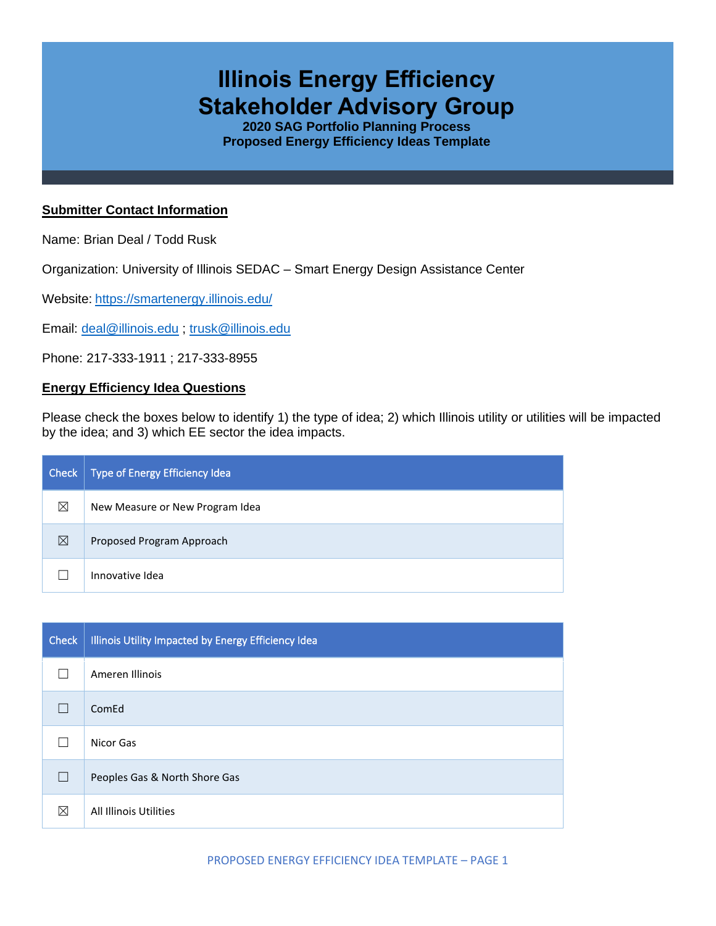# **Illinois Energy Efficiency Stakeholder Advisory Group**

**2020 SAG Portfolio Planning Process Proposed Energy Efficiency Ideas Template**

### **Submitter Contact Information**

Name: Brian Deal / Todd Rusk

Organization: University of Illinois SEDAC – Smart Energy Design Assistance Center

Website: <https://smartenergy.illinois.edu/>

Email: [deal@illinois.edu](mailto:deal@illinois.edu) ; [trusk@illinois.edu](mailto:trusk@illinois.edu)

Phone: 217-333-1911 ; 217-333-8955

#### **Energy Efficiency Idea Questions**

Please check the boxes below to identify 1) the type of idea; 2) which Illinois utility or utilities will be impacted by the idea; and 3) which EE sector the idea impacts.

| Check       | Type of Energy Efficiency Idea  |
|-------------|---------------------------------|
| ⊠           | New Measure or New Program Idea |
| $\boxtimes$ | Proposed Program Approach       |
|             | Innovative Idea                 |

| <b>Check</b> | Illinois Utility Impacted by Energy Efficiency Idea |
|--------------|-----------------------------------------------------|
|              | Ameren Illinois                                     |
|              | ComEd                                               |
|              | Nicor Gas                                           |
| $\Box$       | Peoples Gas & North Shore Gas                       |
| ⊠            | All Illinois Utilities                              |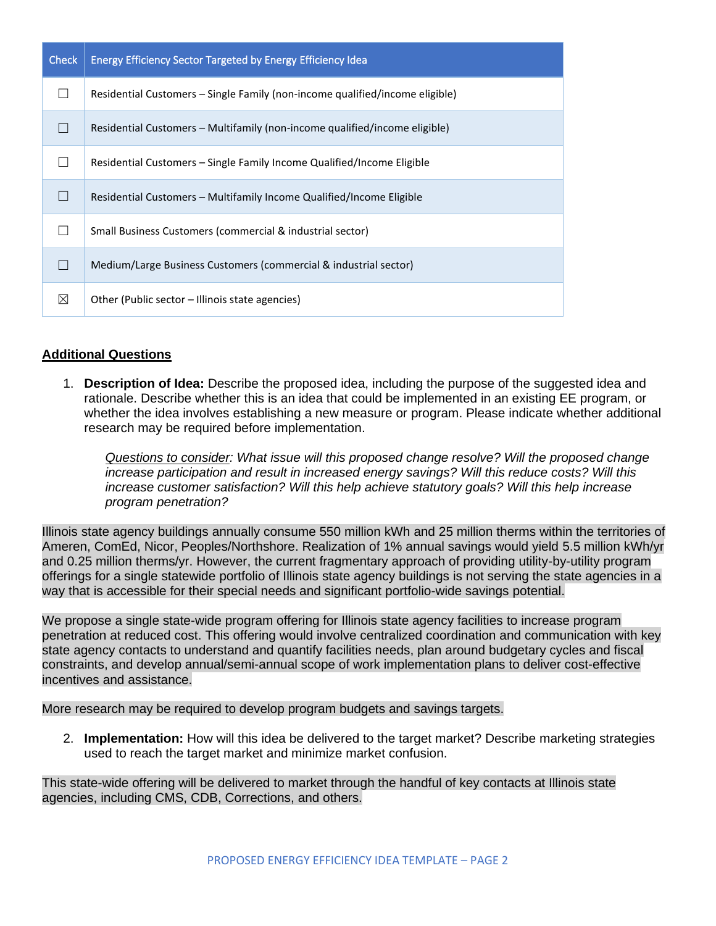| <b>Check</b> | Energy Efficiency Sector Targeted by Energy Efficiency Idea                  |
|--------------|------------------------------------------------------------------------------|
|              | Residential Customers - Single Family (non-income qualified/income eligible) |
|              | Residential Customers – Multifamily (non-income qualified/income eligible)   |
|              | Residential Customers - Single Family Income Qualified/Income Eligible       |
|              | Residential Customers - Multifamily Income Qualified/Income Eligible         |
|              | Small Business Customers (commercial & industrial sector)                    |
|              | Medium/Large Business Customers (commercial & industrial sector)             |
| ⊠            | Other (Public sector – Illinois state agencies)                              |

## **Additional Questions**

1. **Description of Idea:** Describe the proposed idea, including the purpose of the suggested idea and rationale. Describe whether this is an idea that could be implemented in an existing EE program, or whether the idea involves establishing a new measure or program. Please indicate whether additional research may be required before implementation.

*Questions to consider: What issue will this proposed change resolve? Will the proposed change increase participation and result in increased energy savings? Will this reduce costs? Will this increase customer satisfaction? Will this help achieve statutory goals? Will this help increase program penetration?* 

Illinois state agency buildings annually consume 550 million kWh and 25 million therms within the territories of Ameren, ComEd, Nicor, Peoples/Northshore. Realization of 1% annual savings would yield 5.5 million kWh/yr and 0.25 million therms/yr. However, the current fragmentary approach of providing utility-by-utility program offerings for a single statewide portfolio of Illinois state agency buildings is not serving the state agencies in a way that is accessible for their special needs and significant portfolio-wide savings potential.

We propose a single state-wide program offering for Illinois state agency facilities to increase program penetration at reduced cost. This offering would involve centralized coordination and communication with key state agency contacts to understand and quantify facilities needs, plan around budgetary cycles and fiscal constraints, and develop annual/semi-annual scope of work implementation plans to deliver cost-effective incentives and assistance.

More research may be required to develop program budgets and savings targets.

2. **Implementation:** How will this idea be delivered to the target market? Describe marketing strategies used to reach the target market and minimize market confusion.

This state-wide offering will be delivered to market through the handful of key contacts at Illinois state agencies, including CMS, CDB, Corrections, and others.